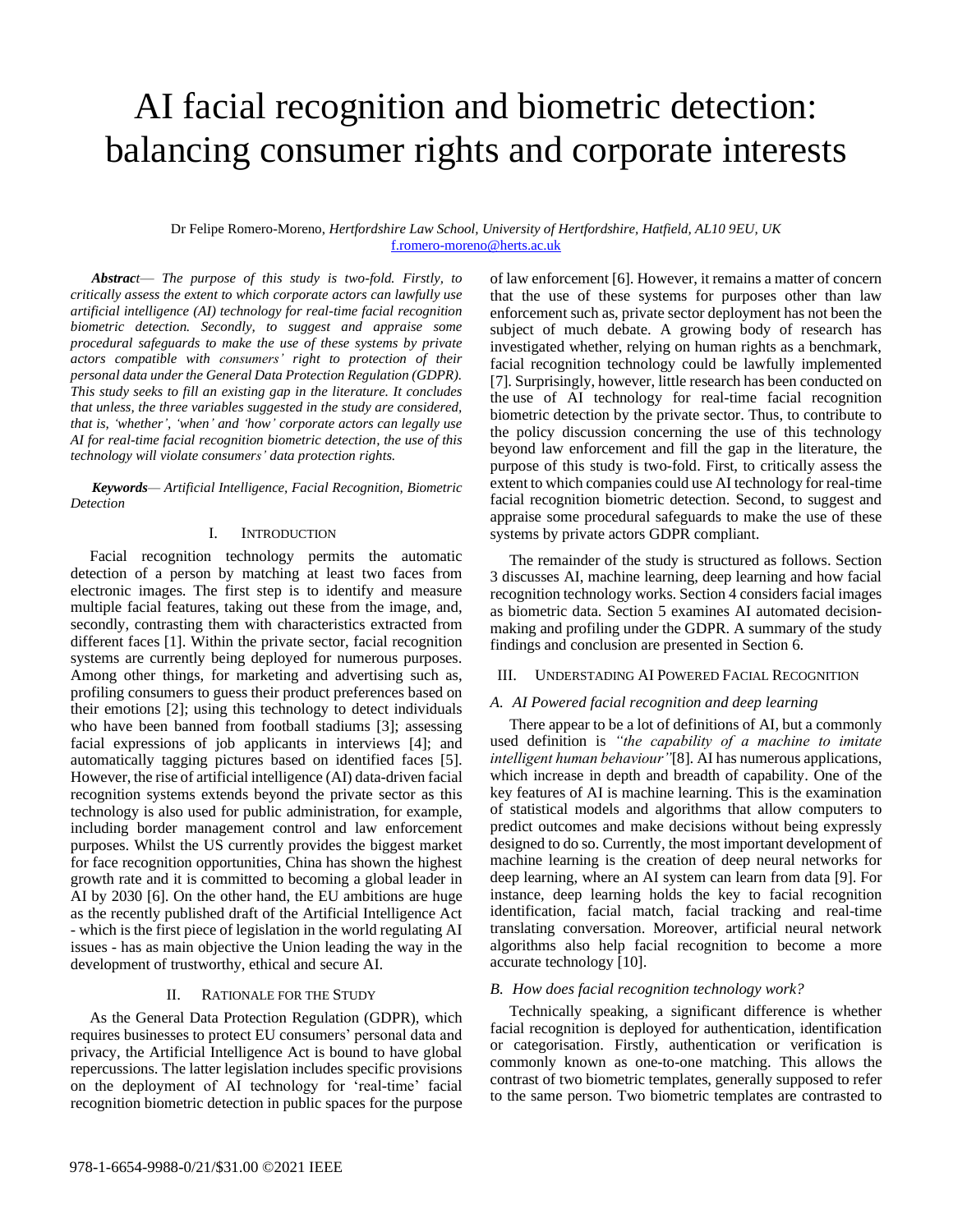# AI facial recognition and biometric detection: balancing consumer rights and corporate interests

## Dr Felipe Romero-Moreno, *Hertfordshire Law School, University of Hertfordshire, Hatfield, AL10 9EU, UK* [f.romero-moreno@herts.ac.uk](mailto:f.romero-moreno@herts.ac.uk)

*Abstract*— *The purpose of this study is two-fold. Firstly, to critically assess the extent to which corporate actors can lawfully use artificial intelligence (AI) technology for real-time facial recognition biometric detection. Secondly, to suggest and appraise some procedural safeguards to make the use of these systems by private actors compatible with consumers' right to protection of their personal data under the General Data Protection Regulation (GDPR). This study seeks to fill an existing gap in the literature. It concludes that unless, the three variables suggested in the study are considered, that is, 'whether', 'when' and 'how' corporate actors can legally use AI for real-time facial recognition biometric detection, the use of this technology will violate consumers' data protection rights.*

*Keywords— Artificial Intelligence, Facial Recognition, Biometric Detection* 

### I. INTRODUCTION

 Facial recognition technology permits the automatic detection of a person by matching at least two faces from electronic images. The first step is to identify and measure multiple facial features, taking out these from the image, and, secondly, contrasting them with characteristics extracted from different faces [1]. Within the private sector, facial recognition systems are currently being deployed for numerous purposes. Among other things, for marketing and advertising such as, profiling consumers to guess their product preferences based on their emotions [2]; using this technology to detect individuals who have been banned from football stadiums [3]; assessing facial expressions of job applicants in interviews [4]; and automatically tagging pictures based on identified faces [5]. However, the rise of artificial intelligence (AI) data-driven facial recognition systems extends beyond the private sector as this technology is also used for public administration, for example, including border management control and law enforcement purposes. Whilst the US currently provides the biggest market for face recognition opportunities, China has shown the highest growth rate and it is committed to becoming a global leader in AI by 2030 [6]. On the other hand, the EU ambitions are huge as the recently published draft of the Artificial Intelligence Act - which is the first piece of legislation in the world regulating AI issues - has as main objective the Union leading the way in the development of trustworthy, ethical and secure AI.

### II. RATIONALE FOR THE STUDY

 As the General Data Protection Regulation (GDPR), which requires businesses to protect EU consumers' personal data and privacy, the Artificial Intelligence Act is bound to have global repercussions. The latter legislation includes specific provisions on the deployment of AI technology for 'real-time' facial recognition biometric detection in public spaces for the purpose

of law enforcement [6]. However, it remains a matter of concern that the use of these systems for purposes other than law enforcement such as, private sector deployment has not been the subject of much debate. A growing body of research has investigated whether, relying on human rights as a benchmark, facial recognition technology could be lawfully implemented [7]. Surprisingly, however, little research has been conducted on the use of AI technology for real-time facial recognition biometric detection by the private sector. Thus, to contribute to the policy discussion concerning the use of this technology beyond law enforcement and fill the gap in the literature, the purpose of this study is two-fold. First, to critically assess the extent to which companies could use AI technology for real-time facial recognition biometric detection. Second, to suggest and appraise some procedural safeguards to make the use of these systems by private actors GDPR compliant.

 The remainder of the study is structured as follows. Section 3 discusses AI, machine learning, deep learning and how facial recognition technology works. Section 4 considers facial images as biometric data. Section 5 examines AI automated decisionmaking and profiling under the GDPR. A summary of the study findings and conclusion are presented in Section 6.

## III. UNDERSTADING AI POWERED FACIAL RECOGNITION

#### *A. AI Powered facial recognition and deep learning*

 There appear to be a lot of definitions of AI, but a commonly used definition is *"the capability of a machine to imitate intelligent human behaviour"*[8]. AI has numerous applications, which increase in depth and breadth of capability. One of the key features of AI is machine learning. This is the examination of statistical models and algorithms that allow computers to predict outcomes and make decisions without being expressly designed to do so. Currently, the most important development of machine learning is the creation of deep neural networks for deep learning, where an AI system can learn from data [9]. For instance, deep learning holds the key to facial recognition identification, facial match, facial tracking and real-time translating conversation. Moreover, artificial neural network algorithms also help facial recognition to become a more accurate technology [10].

#### *B. How does facial recognition technology work?*

 Technically speaking, a significant difference is whether facial recognition is deployed for authentication, identification or categorisation. Firstly, authentication or verification is commonly known as one-to-one matching. This allows the contrast of two biometric templates, generally supposed to refer to the same person. Two biometric templates are contrasted to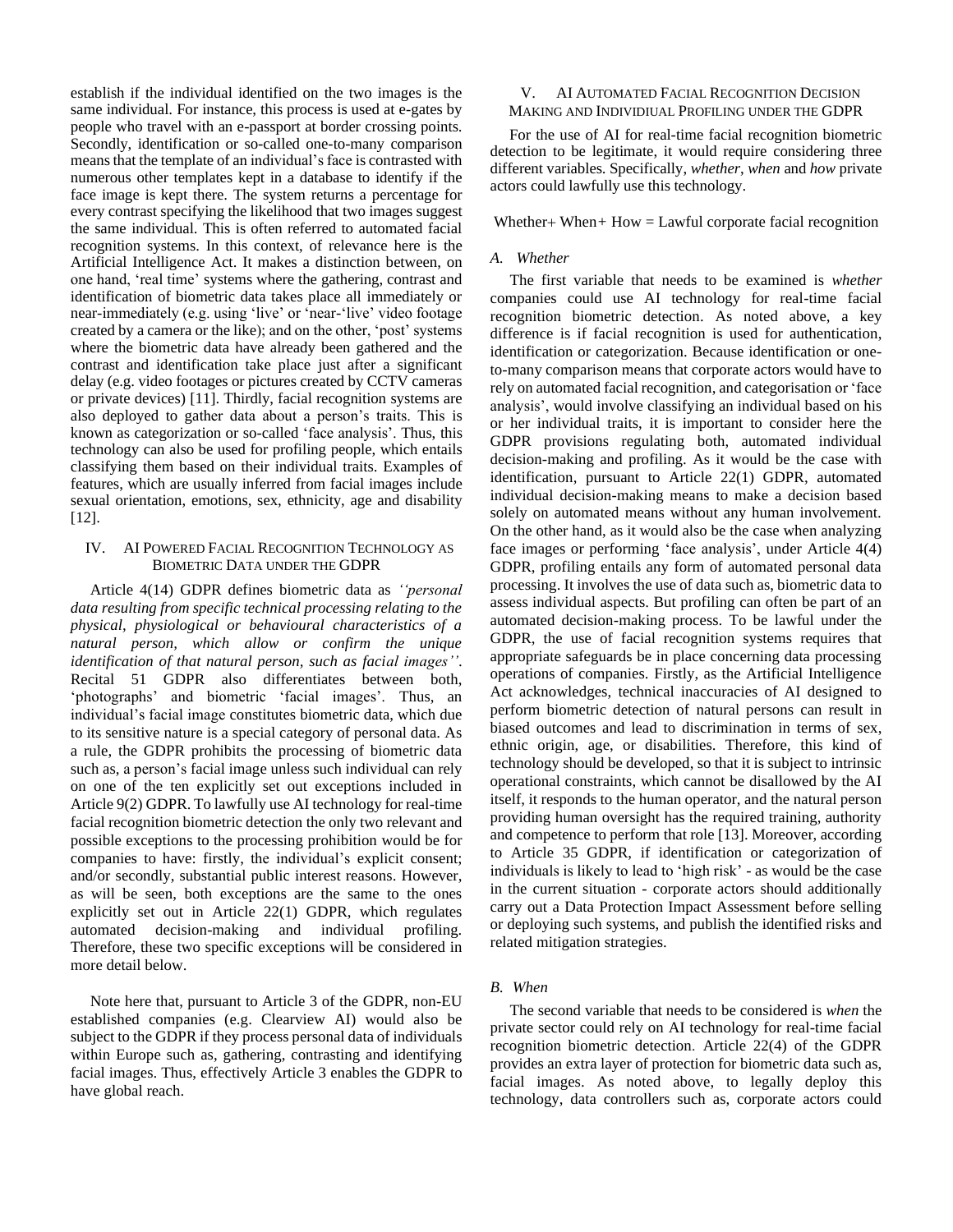establish if the individual identified on the two images is the same individual. For instance, this process is used at e-gates by people who travel with an e-passport at border crossing points. Secondly, identification or so-called one-to-many comparison means that the template of an individual's face is contrasted with numerous other templates kept in a database to identify if the face image is kept there. The system returns a percentage for every contrast specifying the likelihood that two images suggest the same individual. This is often referred to automated facial recognition systems. In this context, of relevance here is the Artificial Intelligence Act. It makes a distinction between, on one hand, 'real time' systems where the gathering, contrast and identification of biometric data takes place all immediately or near-immediately (e.g. using 'live' or 'near-'live' video footage created by a camera or the like); and on the other, 'post' systems where the biometric data have already been gathered and the contrast and identification take place just after a significant delay (e.g. video footages or pictures created by CCTV cameras or private devices) [11]. Thirdly, facial recognition systems are also deployed to gather data about a person's traits. This is known as categorization or so-called 'face analysis'. Thus, this technology can also be used for profiling people, which entails classifying them based on their individual traits. Examples of features, which are usually inferred from facial images include sexual orientation, emotions, sex, ethnicity, age and disability [12].

## IV. AI POWERED FACIAL RECOGNITION TECHNOLOGY AS BIOMETRIC DATA UNDER THE GDPR

 Article 4(14) GDPR defines biometric data as *''personal data resulting from specific technical processing relating to the physical, physiological or behavioural characteristics of a natural person, which allow or confirm the unique identification of that natural person, such as facial images''*. Recital 51 GDPR also differentiates between both, 'photographs' and biometric 'facial images'. Thus, an individual's facial image constitutes biometric data, which due to its sensitive nature is a special category of personal data. As a rule, the GDPR prohibits the processing of biometric data such as, a person's facial image unless such individual can rely on one of the ten explicitly set out exceptions included in Article 9(2) GDPR. To lawfully use AI technology for real-time facial recognition biometric detection the only two relevant and possible exceptions to the processing prohibition would be for companies to have: firstly, the individual's explicit consent; and/or secondly, substantial public interest reasons. However, as will be seen, both exceptions are the same to the ones explicitly set out in Article 22(1) GDPR, which regulates automated decision-making and individual profiling. Therefore, these two specific exceptions will be considered in more detail below.

 Note here that, pursuant to Article 3 of the GDPR, non-EU established companies (e.g. Clearview AI) would also be subject to the GDPR if they process personal data of individuals within Europe such as, gathering, contrasting and identifying facial images. Thus, effectively Article 3 enables the GDPR to have global reach.

## V. AI AUTOMATED FACIAL RECOGNITION DECISION MAKING AND INDIVIDIUAL PROFILING UNDER THE GDPR

 For the use of AI for real-time facial recognition biometric detection to be legitimate, it would require considering three different variables. Specifically, *whether*, *when* and *how* private actors could lawfully use this technology.

Whether+ When*+* How = Lawful corporate facial recognition

## *A. Whether*

 The first variable that needs to be examined is *whether*  companies could use AI technology for real-time facial recognition biometric detection. As noted above, a key difference is if facial recognition is used for authentication, identification or categorization. Because identification or oneto-many comparison means that corporate actors would have to rely on automated facial recognition, and categorisation or 'face analysis', would involve classifying an individual based on his or her individual traits, it is important to consider here the GDPR provisions regulating both, automated individual decision-making and profiling. As it would be the case with identification, pursuant to Article 22(1) GDPR, automated individual decision-making means to make a decision based solely on automated means without any human involvement. On the other hand, as it would also be the case when analyzing face images or performing 'face analysis', under Article 4(4) GDPR, profiling entails any form of automated personal data processing. It involves the use of data such as, biometric data to assess individual aspects. But profiling can often be part of an automated decision-making process. To be lawful under the GDPR, the use of facial recognition systems requires that appropriate safeguards be in place concerning data processing operations of companies. Firstly, as the Artificial Intelligence Act acknowledges, technical inaccuracies of AI designed to perform biometric detection of natural persons can result in biased outcomes and lead to discrimination in terms of sex, ethnic origin, age, or disabilities. Therefore, this kind of technology should be developed, so that it is subject to intrinsic operational constraints, which cannot be disallowed by the AI itself, it responds to the human operator, and the natural person providing human oversight has the required training, authority and competence to perform that role [13]. Moreover, according to Article 35 GDPR, if identification or categorization of individuals is likely to lead to 'high risk' - as would be the case in the current situation - corporate actors should additionally carry out a Data Protection Impact Assessment before selling or deploying such systems, and publish the identified risks and related mitigation strategies.

## *B. When*

 The second variable that needs to be considered is *when* the private sector could rely on AI technology for real-time facial recognition biometric detection*.* Article 22(4) of the GDPR provides an extra layer of protection for biometric data such as, facial images. As noted above, to legally deploy this technology, data controllers such as, corporate actors could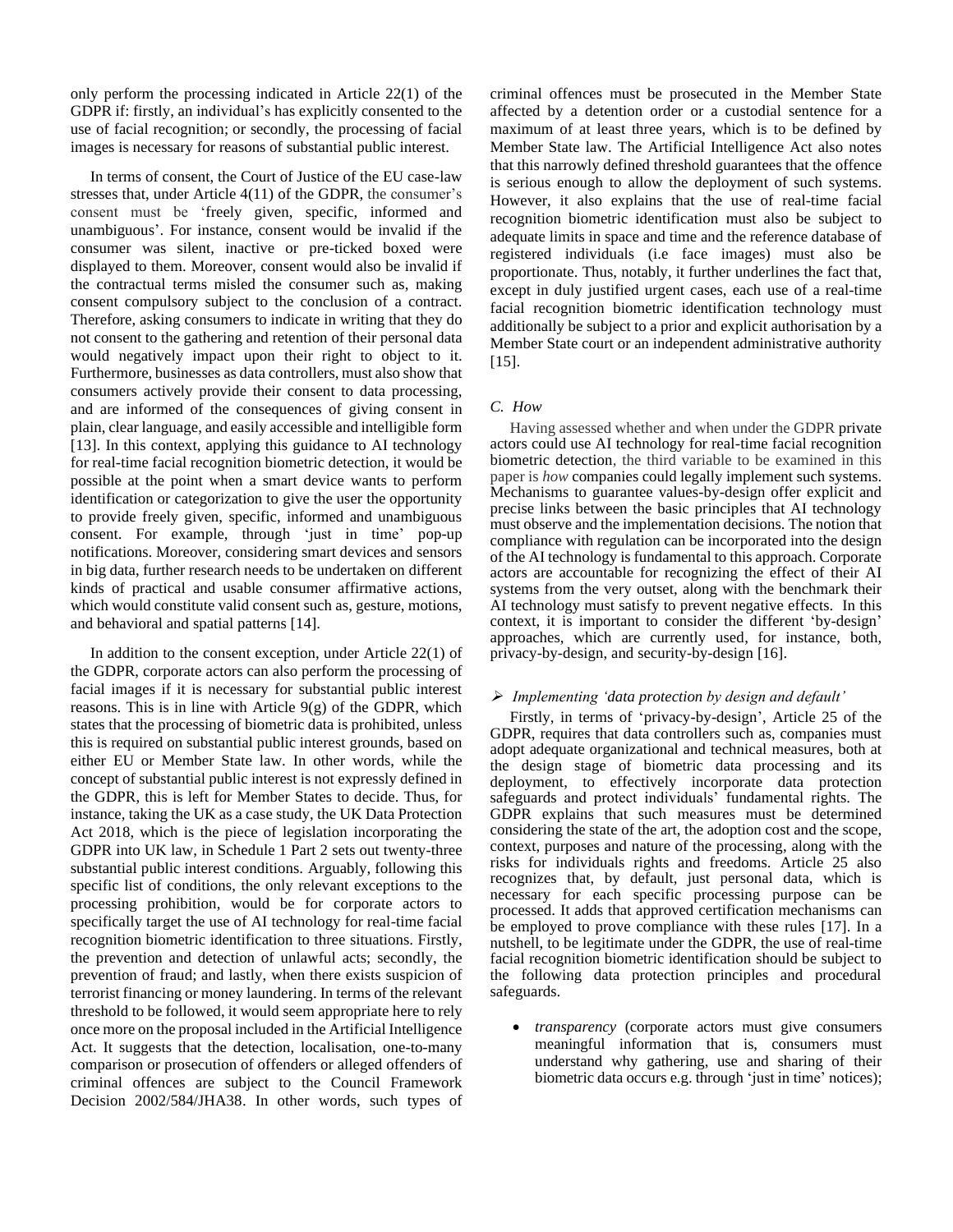only perform the processing indicated in Article 22(1) of the GDPR if: firstly, an individual's has explicitly consented to the use of facial recognition; or secondly, the processing of facial images is necessary for reasons of substantial public interest.

 In terms of consent, the Court of Justice of the EU case-law stresses that, under Article 4(11) of the GDPR, the consumer's consent must be 'freely given, specific, informed and unambiguous'. For instance, consent would be invalid if the consumer was silent, inactive or pre-ticked boxed were displayed to them. Moreover, consent would also be invalid if the contractual terms misled the consumer such as, making consent compulsory subject to the conclusion of a contract. Therefore, asking consumers to indicate in writing that they do not consent to the gathering and retention of their personal data would negatively impact upon their right to object to it. Furthermore, businesses as data controllers, must also show that consumers actively provide their consent to data processing, and are informed of the consequences of giving consent in plain, clear language, and easily accessible and intelligible form [13]. In this context, applying this guidance to AI technology for real-time facial recognition biometric detection, it would be possible at the point when a smart device wants to perform identification or categorization to give the user the opportunity to provide freely given, specific, informed and unambiguous consent. For example, through 'just in time' pop-up notifications. Moreover, considering smart devices and sensors in big data, further research needs to be undertaken on different kinds of practical and usable consumer affirmative actions, which would constitute valid consent such as, gesture, motions, and behavioral and spatial patterns [14].

 In addition to the consent exception, under Article 22(1) of the GDPR, corporate actors can also perform the processing of facial images if it is necessary for substantial public interest reasons. This is in line with Article  $9(g)$  of the GDPR, which states that the processing of biometric data is prohibited, unless this is required on substantial public interest grounds, based on either EU or Member State law. In other words, while the concept of substantial public interest is not expressly defined in the GDPR, this is left for Member States to decide. Thus, for instance, taking the UK as a case study, the UK Data Protection Act 2018, which is the piece of legislation incorporating the GDPR into UK law, in Schedule 1 Part 2 sets out twenty-three substantial public interest conditions. Arguably, following this specific list of conditions, the only relevant exceptions to the processing prohibition, would be for corporate actors to specifically target the use of AI technology for real-time facial recognition biometric identification to three situations. Firstly, the prevention and detection of unlawful acts; secondly, the prevention of fraud; and lastly, when there exists suspicion of terrorist financing or money laundering. In terms of the relevant threshold to be followed, it would seem appropriate here to rely once more on the proposal included in the Artificial Intelligence Act. It suggests that the detection, localisation, one-to-many comparison or prosecution of offenders or alleged offenders of criminal offences are subject to the Council Framework Decision 2002/584/JHA38. In other words, such types of

criminal offences must be prosecuted in the Member State affected by a detention order or a custodial sentence for a maximum of at least three years, which is to be defined by Member State law. The Artificial Intelligence Act also notes that this narrowly defined threshold guarantees that the offence is serious enough to allow the deployment of such systems. However, it also explains that the use of real-time facial recognition biometric identification must also be subject to adequate limits in space and time and the reference database of registered individuals (i.e face images) must also be proportionate. Thus, notably, it further underlines the fact that, except in duly justified urgent cases, each use of a real-time facial recognition biometric identification technology must additionally be subject to a prior and explicit authorisation by a Member State court or an independent administrative authority [15].

# *C. How*

 Having assessed whether and when under the GDPR private actors could use AI technology for real-time facial recognition biometric detection, the third variable to be examined in this paper is *how* companies could legally implement such systems. Mechanisms to guarantee values-by-design offer explicit and precise links between the basic principles that AI technology must observe and the implementation decisions. The notion that compliance with regulation can be incorporated into the design of the AI technology is fundamental to this approach. Corporate actors are accountable for recognizing the effect of their AI systems from the very outset, along with the benchmark their AI technology must satisfy to prevent negative effects. In this context, it is important to consider the different 'by-design' approaches, which are currently used, for instance, both, privacy-by-design, and security-by-design [16].

#### ➢ *Implementing 'data protection by design and default'*

 Firstly, in terms of 'privacy-by-design', Article 25 of the GDPR, requires that data controllers such as, companies must adopt adequate organizational and technical measures, both at the design stage of biometric data processing and its deployment, to effectively incorporate data protection safeguards and protect individuals' fundamental rights. The GDPR explains that such measures must be determined considering the state of the art, the adoption cost and the scope, context, purposes and nature of the processing, along with the risks for individuals rights and freedoms. Article 25 also recognizes that, by default, just personal data, which is necessary for each specific processing purpose can be processed. It adds that approved certification mechanisms can be employed to prove compliance with these rules [17]. In a nutshell, to be legitimate under the GDPR, the use of real-time facial recognition biometric identification should be subject to the following data protection principles and procedural safeguards.

• *transparency* (corporate actors must give consumers meaningful information that is, consumers must understand why gathering, use and sharing of their biometric data occurs e.g. through 'just in time' notices);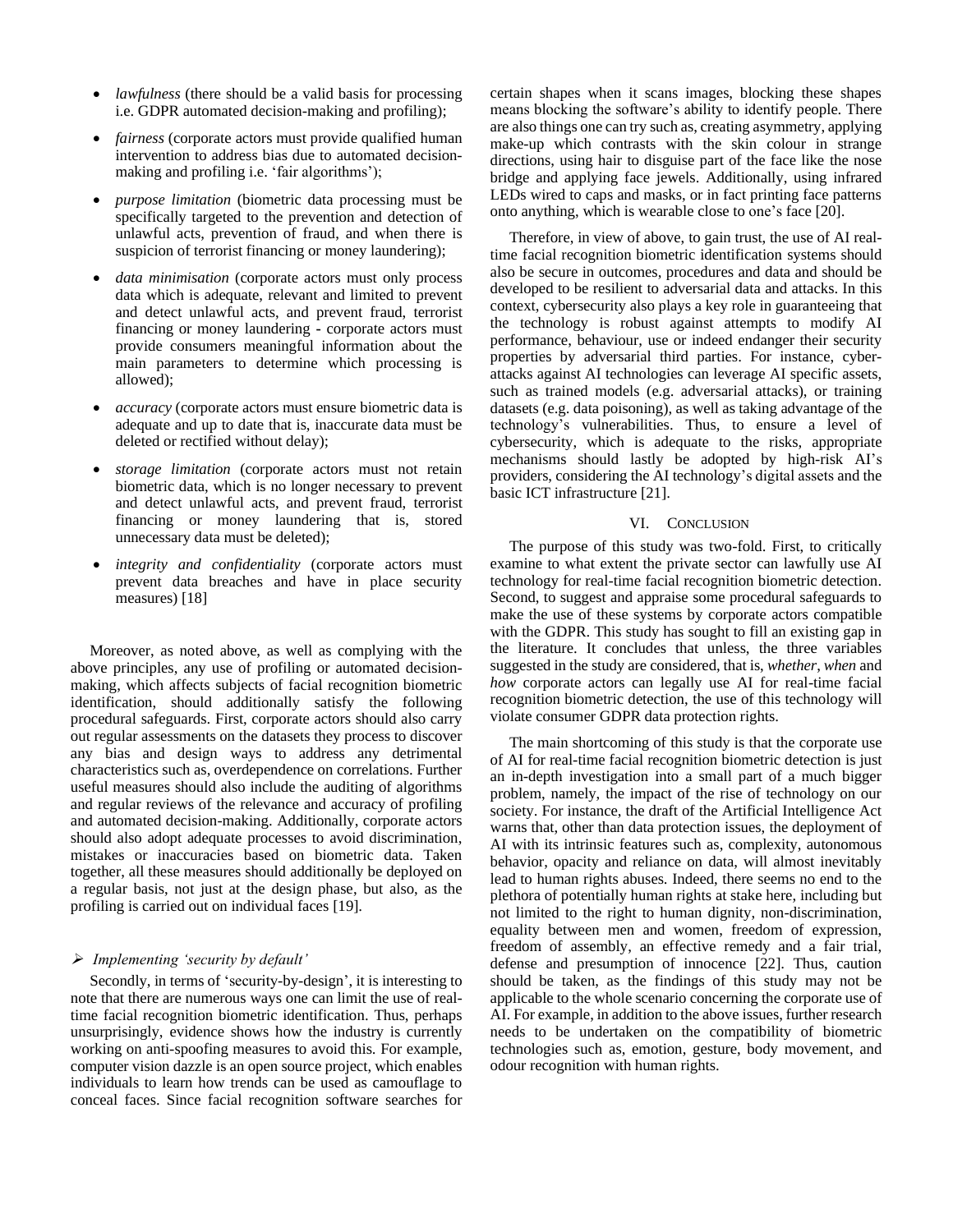- *lawfulness* (there should be a valid basis for processing i.e. GDPR automated decision-making and profiling);
- *fairness* (corporate actors must provide qualified human intervention to address bias due to automated decisionmaking and profiling i.e. 'fair algorithms');
- *purpose limitation* (biometric data processing must be specifically targeted to the prevention and detection of unlawful acts, prevention of fraud, and when there is suspicion of terrorist financing or money laundering);
- *data minimisation* (corporate actors must only process data which is adequate, relevant and limited to prevent and detect unlawful acts, and prevent fraud, terrorist financing or money laundering **-** corporate actors must provide consumers meaningful information about the main parameters to determine which processing is allowed);
- *accuracy* (corporate actors must ensure biometric data is adequate and up to date that is, inaccurate data must be deleted or rectified without delay);
- *storage limitation* (corporate actors must not retain biometric data, which is no longer necessary to prevent and detect unlawful acts, and prevent fraud, terrorist financing or money laundering that is, stored unnecessary data must be deleted);
- *integrity and confidentiality* (corporate actors must prevent data breaches and have in place security measures) [18]

 Moreover, as noted above, as well as complying with the above principles, any use of profiling or automated decisionmaking, which affects subjects of facial recognition biometric identification, should additionally satisfy the following procedural safeguards. First, corporate actors should also carry out regular assessments on the datasets they process to discover any bias and design ways to address any detrimental characteristics such as, overdependence on correlations. Further useful measures should also include the auditing of algorithms and regular reviews of the relevance and accuracy of profiling and automated decision-making. Additionally, corporate actors should also adopt adequate processes to avoid discrimination, mistakes or inaccuracies based on biometric data. Taken together, all these measures should additionally be deployed on a regular basis, not just at the design phase, but also, as the profiling is carried out on individual faces [19].

### ➢ *Implementing 'security by default'*

 Secondly, in terms of 'security-by-design', it is interesting to note that there are numerous ways one can limit the use of realtime facial recognition biometric identification. Thus, perhaps unsurprisingly, evidence shows how the industry is currently working on anti-spoofing measures to avoid this. For example, computer vision dazzle is an open source project, which enables individuals to learn how trends can be used as camouflage to conceal faces. Since facial recognition software searches for

certain shapes when it scans images, blocking these shapes means blocking the software's ability to identify people. There are also things one can try such as, creating asymmetry, applying make-up which contrasts with the skin colour in strange directions, using hair to disguise part of the face like the nose bridge and applying face jewels. Additionally, using infrared LEDs wired to caps and masks, or in fact printing face patterns onto anything, which is wearable close to one's face [20].

 Therefore, in view of above, to gain trust, the use of AI realtime facial recognition biometric identification systems should also be secure in outcomes, procedures and data and should be developed to be resilient to adversarial data and attacks. In this context, cybersecurity also plays a key role in guaranteeing that the technology is robust against attempts to modify AI performance, behaviour, use or indeed endanger their security properties by adversarial third parties. For instance, cyberattacks against AI technologies can leverage AI specific assets, such as trained models (e.g. adversarial attacks), or training datasets (e.g. data poisoning), as well as taking advantage of the technology's vulnerabilities. Thus, to ensure a level of cybersecurity, which is adequate to the risks, appropriate mechanisms should lastly be adopted by high-risk AI's providers, considering the AI technology's digital assets and the basic ICT infrastructure [21].

#### VI. CONCLUSION

 The purpose of this study was two-fold. First, to critically examine to what extent the private sector can lawfully use AI technology for real-time facial recognition biometric detection. Second, to suggest and appraise some procedural safeguards to make the use of these systems by corporate actors compatible with the GDPR. This study has sought to fill an existing gap in the literature. It concludes that unless, the three variables suggested in the study are considered, that is, *whether*, *when* and *how* corporate actors can legally use AI for real-time facial recognition biometric detection, the use of this technology will violate consumer GDPR data protection rights.

 The main shortcoming of this study is that the corporate use of AI for real-time facial recognition biometric detection is just an in-depth investigation into a small part of a much bigger problem, namely, the impact of the rise of technology on our society. For instance, the draft of the Artificial Intelligence Act warns that, other than data protection issues, the deployment of AI with its intrinsic features such as, complexity, autonomous behavior, opacity and reliance on data, will almost inevitably lead to human rights abuses. Indeed, there seems no end to the plethora of potentially human rights at stake here, including but not limited to the right to human dignity, non-discrimination, equality between men and women, freedom of expression, freedom of assembly, an effective remedy and a fair trial, defense and presumption of innocence [22]. Thus, caution should be taken, as the findings of this study may not be applicable to the whole scenario concerning the corporate use of AI. For example, in addition to the above issues, further research needs to be undertaken on the compatibility of biometric technologies such as, emotion, gesture, body movement, and odour recognition with human rights.